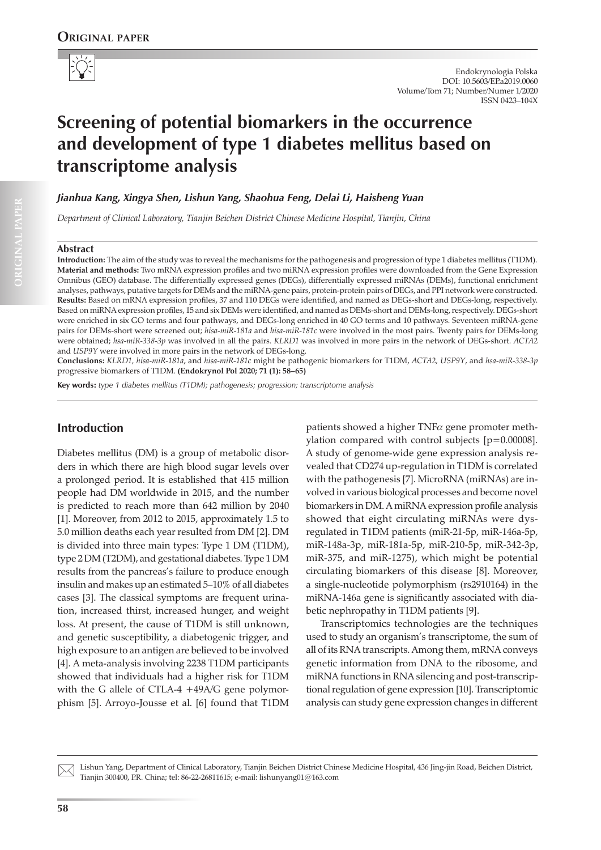

# **Screening of potential biomarkers in the occurrence and development of type 1 diabetes mellitus based on transcriptome analysis**

*Jianhua Kang, Xingya Shen, Lishun Yang, Shaohua Feng, Delai Li, Haisheng Yuan*

*Department of Clinical Laboratory, Tianjin Beichen District Chinese Medicine Hospital, Tianjin, China*

#### **Abstract**

**Introduction:** The aim of the study was to reveal the mechanisms for the pathogenesis and progression of type 1 diabetes mellitus (T1DM). **Material and methods:** Two mRNA expression profiles and two miRNA expression profiles were downloaded from the Gene Expression Omnibus (GEO) database. The differentially expressed genes (DEGs), differentially expressed miRNAs (DEMs), functional enrichment analyses, pathways, putative targets for DEMs and the miRNA-gene pairs, protein-protein pairs of DEGs, and PPI network were constructed. **Results:** Based on mRNA expression profiles, 37 and 110 DEGs were identified, and named as DEGs-short and DEGs-long, respectively. Based on miRNA expression profiles, 15 and six DEMs were identified, and named as DEMs-short and DEMs-long, respectively. DEGs-short were enriched in six GO terms and four pathways, and DEGs-long enriched in 40 GO terms and 10 pathways. Seventeen miRNA-gene pairs for DEMs-short were screened out; *hisa-miR-181a* and *hisa-miR-181c* were involved in the most pairs. Twenty pairs for DEMs-long were obtained; *hsa-miR-338-3p* was involved in all the pairs. *KLRD1* was involved in more pairs in the network of DEGs-short. *ACTA2* and *USP9Y* were involved in more pairs in the network of DEGs-long.

**Conclusions:** *KLRD1, hisa-miR-181a*, and *hisa-miR-181c* might be pathogenic biomarkers for T1DM, *ACTA2, USP9Y*, and *hsa-miR-338-3p* progressive biomarkers of T1DM. **(Endokrynol Pol 2020; 71 (1): 58–65)**

**Key words:** *type 1 diabetes mellitus (T1DM); pathogenesis; progression; transcriptome analysis*

## **Introduction**

Diabetes mellitus (DM) is a group of metabolic disorders in which there are high blood sugar levels over a prolonged period. It is established that 415 million people had DM worldwide in 2015, and the number is predicted to reach more than 642 million by 2040 [1]. Moreover, from 2012 to 2015, approximately 1.5 to 5.0 million deaths each year resulted from DM [2]. DM is divided into three main types: Type 1 DM (T1DM), type 2 DM (T2DM), and gestational diabetes. Type 1 DM results from the pancreas's failure to produce enough insulin and makes up an estimated 5–10% of all diabetes cases [3]. The classical symptoms are frequent urination, increased thirst, increased hunger, and weight loss. At present, the cause of T1DM is still unknown, and genetic susceptibility, a diabetogenic trigger, and high exposure to an antigen are believed to be involved [4]. A meta-analysis involving 2238 T1DM participants showed that individuals had a higher risk for T1DM with the G allele of CTLA-4 +49A/G gene polymorphism [5]. Arroyo-Jousse et al. [6] found that T1DM

patients showed a higher  $TNF\alpha$  gene promoter methylation compared with control subjects [p=0.00008]. A study of genome-wide gene expression analysis revealed that CD274 up-regulation in T1DM is correlated with the pathogenesis [7]. MicroRNA (miRNAs) are involved in various biological processes and become novel biomarkers in DM. A miRNA expression profile analysis showed that eight circulating miRNAs were dysregulated in T1DM patients (miR-21-5p, miR-146a-5p, miR-148a-3p, miR-181a-5p, miR-210-5p, miR-342-3p, miR-375, and miR-1275), which might be potential circulating biomarkers of this disease [8]. Moreover, a single-nucleotide polymorphism (rs2910164) in the miRNA-146a gene is significantly associated with diabetic nephropathy in T1DM patients [9].

Transcriptomics technologies are the techniques used to study an organism's transcriptome, the sum of all of its RNA transcripts. Among them, mRNA conveys genetic information from DNA to the ribosome, and miRNA functions in RNA silencing and post-transcriptional regulation of gene expression [10]. Transcriptomic analysis can study gene expression changes in different

Lishun Yang, Department of Clinical Laboratory, Tianjin Beichen District Chinese Medicine Hospital, 436 Jing-jin Road, Beichen District, Tianjin 300400, P.R. China; tel: 86-22-26811615; e-mail: lishunyang01@163.com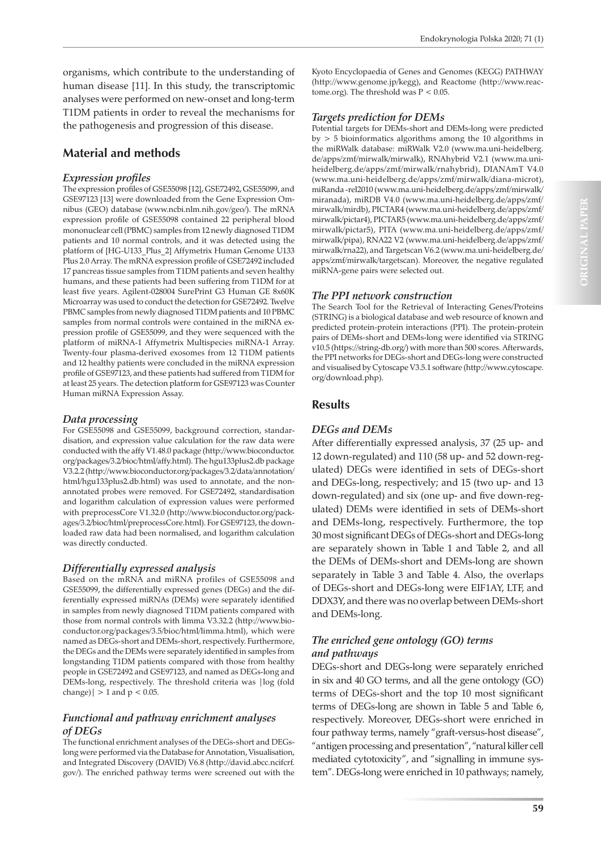organisms, which contribute to the understanding of human disease [11]. In this study, the transcriptomic analyses were performed on new-onset and long-term T1DM patients in order to reveal the mechanisms for the pathogenesis and progression of this disease.

# **Material and methods**

## *Expression profiles*

The expression profiles of GSE55098 [12], GSE72492, GSE55099, and GSE97123 [13] were downloaded from the Gene Expression Omnibus (GEO) database (www.ncbi.nlm.nih.gov/geo/). The mRNA expression profile of GSE55098 contained 22 peripheral blood mononuclear cell (PBMC) samples from 12 newly diagnosed T1DM patients and 10 normal controls, and it was detected using the platform of [HG-U133\_Plus\_2] Affymetrix Human Genome U133 Plus 2.0 Array. The mRNA expression profile of GSE72492 included 17 pancreas tissue samples from T1DM patients and seven healthy humans, and these patients had been suffering from T1DM for at least five years. Agilent-028004 SurePrint G3 Human GE 8x60K Microarray was used to conduct the detection for GSE72492. Twelve PBMC samples from newly diagnosed T1DM patients and 10 PBMC samples from normal controls were contained in the miRNA expression profile of GSE55099, and they were sequenced with the platform of miRNA-1 Affymetrix Multispecies miRNA-1 Array. Twenty-four plasma-derived exosomes from 12 T1DM patients and 12 healthy patients were concluded in the miRNA expression profile of GSE97123, and these patients had suffered from T1DM for at least 25 years. The detection platform for GSE97123 was Counter Human miRNA Expression Assay.

## *Data processing*

For GSE55098 and GSE55099, background correction, standardisation, and expression value calculation for the raw data were conducted with the affy V1.48.0 package (http://www.bioconductor. org/packages/3.2/bioc/html/affy.html). The hgu133plus2.db package V3.2.2 (http://www.bioconductor.org/packages/3.2/data/annotation/ html/hgu133plus2.db.html) was used to annotate, and the nonannotated probes were removed. For GSE72492, standardisation and logarithm calculation of expression values were performed with preprocessCore V1.32.0 (http://www.bioconductor.org/packages/3.2/bioc/html/preprocessCore.html). For GSE97123, the downloaded raw data had been normalised, and logarithm calculation was directly conducted.

## *Differentially expressed analysis*

Based on the mRNA and miRNA profiles of GSE55098 and GSE55099, the differentially expressed genes (DEGs) and the differentially expressed miRNAs (DEMs) were separately identified in samples from newly diagnosed T1DM patients compared with those from normal controls with limma V3.32.2 (http://www.bioconductor.org/packages/3.5/bioc/html/limma.html), which were named as DEGs-short and DEMs-short, respectively. Furthermore, the DEGs and the DEMs were separately identified in samples from longstanding T1DM patients compared with those from healthy people in GSE72492 and GSE97123, and named as DEGs-long and DEMs-long, respectively. The threshold criteria was |log (fold change)  $| > 1$  and  $p < 0.05$ .

## *Functional and pathway enrichment analyses of DEGs*

The functional enrichment analyses of the DEGs-short and DEGslong were performed via the Database for Annotation, Visualisation, and Integrated Discovery (DAVID) V6.8 (http://david.abcc.ncifcrf. gov/). The enriched pathway terms were screened out with the Kyoto Encyclopaedia of Genes and Genomes (KEGG) PATHWAY (http://www.genome.jp/kegg), and Reactome (http://www.reactome.org). The threshold was  $P < 0.05$ .

# *Targets prediction for DEMs*

Potential targets for DEMs-short and DEMs-long were predicted by > 5 bioinformatics algorithms among the 10 algorithms in the miRWalk database: miRWalk V2.0 (www.ma.uni-heidelberg. de/apps/zmf/mirwalk/mirwalk), RNAhybrid V2.1 (www.ma.uniheidelberg.de/apps/zmf/mirwalk/rnahybrid), DIANAmT V4.0 (www.ma.uni-heidelberg.de/apps/zmf/mirwalk/diana-microt), miRanda -rel2010 (www.ma.uni-heidelberg.de/apps/zmf/mirwalk/ miranada), miRDB V4.0 (www.ma.uni-heidelberg.de/apps/zmf/ mirwalk/mirdb), PICTAR4 (www.ma.uni-heidelberg.de/apps/zmf/ mirwalk/pictar4), PICTAR5 (www.ma.uni-heidelberg.de/apps/zmf/ mirwalk/pictar5), PITA (www.ma.uni-heidelberg.de/apps/zmf/ mirwalk/pipa), RNA22 V2 (www.ma.uni-heidelberg.de/apps/zmf/ mirwalk/rna22), and Targetscan V6.2 (www.ma.uni-heidelberg.de/ apps/zmf/mirwalk/targetscan). Moreover, the negative regulated miRNA-gene pairs were selected out.

# *The PPI network construction*

The Search Tool for the Retrieval of Interacting Genes/Proteins (STRING) is a biological database and web resource of known and predicted protein-protein interactions (PPI). The protein-protein pairs of DEMs-short and DEMs-long were identified via STRING v10.5 (https://string-db.org/) with more than 500 scores. Afterwards, the PPI networks for DEGs-short and DEGs-long were constructed and visualised by Cytoscape V3.5.1 software (http://www.cytoscape. org/download.php).

# **Results**

# *DEGs and DEMs*

After differentially expressed analysis, 37 (25 up- and 12 down-regulated) and 110 (58 up- and 52 down-regulated) DEGs were identified in sets of DEGs-short and DEGs-long, respectively; and 15 (two up- and 13 down-regulated) and six (one up- and five down-regulated) DEMs were identified in sets of DEMs-short and DEMs-long, respectively. Furthermore, the top 30 most significant DEGs of DEGs-short and DEGs-long are separately shown in Table 1 and Table 2, and all the DEMs of DEMs-short and DEMs-long are shown separately in Table 3 and Table 4. Also, the overlaps of DEGs-short and DEGs-long were EIF1AY, LTF, and DDX3Y, and there was no overlap between DEMs-short and DEMs-long.

# *The enriched gene ontology (GO) terms and pathways*

DEGs-short and DEGs-long were separately enriched in six and 40 GO terms, and all the gene ontology (GO) terms of DEGs-short and the top 10 most significant terms of DEGs-long are shown in Table 5 and Table 6, respectively. Moreover, DEGs-short were enriched in four pathway terms, namely "graft-versus-host disease", "antigen processing and presentation", "natural killer cell mediated cytotoxicity", and "signalling in immune system". DEGs-long were enriched in 10 pathways; namely,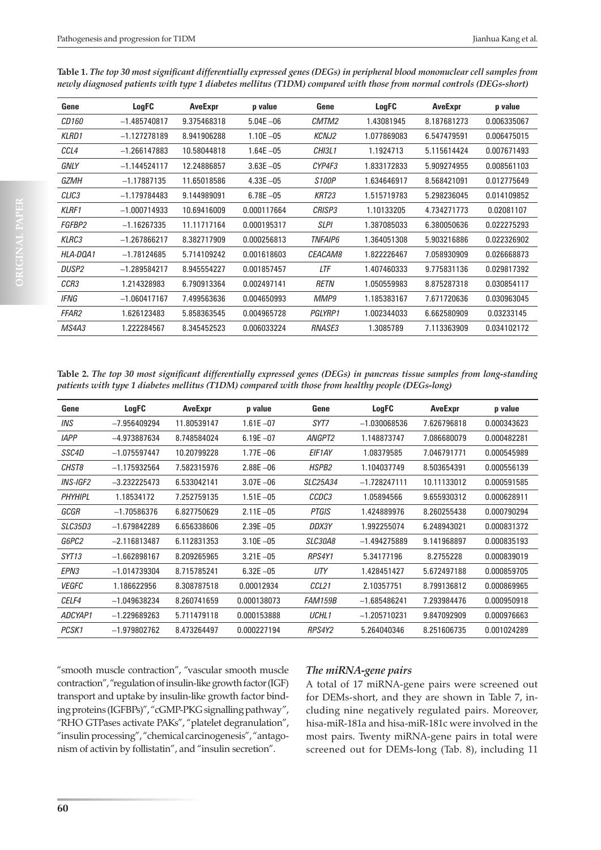| Gene              | LogFC          | AveExpr     | p value       | Gene                  | LogFC       | AveExpr     | p value     |
|-------------------|----------------|-------------|---------------|-----------------------|-------------|-------------|-------------|
| <i>CD160</i>      | $-1.485740817$ | 9.375468318 | $5.04E - 06$  | CMTM2                 | 1.43081945  | 8.187681273 | 0.006335067 |
| <b>KLRD1</b>      | $-1.127278189$ | 8.941906288 | $1.10E - 05$  | <b>KCNJ2</b>          | 1.077869083 | 6.547479591 | 0.006475015 |
| CCL4              | $-1.266147883$ | 10.58044818 | $1.64E - 05$  | CHI3L1                | 1.1924713   | 5.115614424 | 0.007671493 |
| GNLY              | $-1.144524117$ | 12.24886857 | $3.63E - 05$  | CYP4F3                | 1.833172833 | 5.909274955 | 0.008561103 |
| GZMH              | $-1.17887135$  | 11.65018586 | $4.33E - 0.5$ | S <sub>100</sub> P    | 1.634646917 | 8.568421091 | 0.012775649 |
| CLIC <sub>3</sub> | $-1.179784483$ | 9.144989091 | $6.78E - 0.5$ | KRT23                 | 1.515719783 | 5.298236045 | 0.014109852 |
| <b>KLRF1</b>      | $-1.000714933$ | 10.69416009 | 0.000117664   | <b>CRISP3</b>         | 1.10133205  | 4.734271773 | 0.02081107  |
| FGFBP2            | $-1.16267335$  | 11.11717164 | 0.000195317   | <b>SLPI</b>           | 1.387085033 | 6.380050636 | 0.022275293 |
| KLRC3             | $-1.267866217$ | 8.382717909 | 0.000256813   | <i><b>TNFAIP6</b></i> | 1.364051308 | 5.903216886 | 0.022326902 |
| HLA-DOA1          | $-1.78124685$  | 5.714109242 | 0.001618603   | CEACAM8               | 1.822226467 | 7.058930909 | 0.026668873 |
| DUSP <sub>2</sub> | $-1.289584217$ | 8.945554227 | 0.001857457   | LTF                   | 1.407460333 | 9.775831136 | 0.029817392 |
| CCR <sub>3</sub>  | 1.214328983    | 6.790913364 | 0.002497141   | <b>RETN</b>           | 1.050559983 | 8.875287318 | 0.030854117 |
| <b>IFNG</b>       | $-1.060417167$ | 7.499563636 | 0.004650993   | MMP9                  | 1.185383167 | 7.671720636 | 0.030963045 |
| <b>FFAR2</b>      | 1.626123483    | 5.858363545 | 0.004965728   | <b>PGLYRP1</b>        | 1.002344033 | 6.662580909 | 0.03233145  |
| MS4A3             | 1.222284567    | 8.345452523 | 0.006033224   | <b>RNASE3</b>         | 1.3085789   | 7.113363909 | 0.034102172 |

**Table 1.** *The top 30 most significant differentially expressed genes (DEGs) in peripheral blood mononuclear cell samples from newly diagnosed patients with type 1 diabetes mellitus (T1DM) compared with those from normal controls (DEGs-short)*

**Table 2.** *The top 30 most significant differentially expressed genes (DEGs) in pancreas tissue samples from long-standing patients with type 1 diabetes mellitus (T1DM) compared with those from healthy people (DEGs-long)*

| Gene                   | <b>LogFC</b>   | <b>AveExpr</b> | p value       | Gene              | LogFC          | <b>AveExpr</b> | p value     |
|------------------------|----------------|----------------|---------------|-------------------|----------------|----------------|-------------|
| INS                    | $-7.956409294$ | 11.80539147    | $1.61E - 07$  | SYT7              | $-1.030068536$ | 7.626796818    | 0.000343623 |
| <b>IAPP</b>            | -4.973887634   | 8.748584024    | $6.19E - 07$  | <i>ANGPT2</i>     | 1.148873747    | 7.086680079    | 0.000482281 |
| SSC4D                  | $-1.075597447$ | 10.20799228    | $1.77E - 06$  | EIF1AY            | 1.08379585     | 7.046791771    | 0.000545989 |
| CHST8                  | $-1.175932564$ | 7.582315976    | $2.88E - 06$  | <b>HSPB2</b>      | 1.104037749    | 8.503654391    | 0.000556139 |
| <i><b>INS-IGF2</b></i> | $-3.232225473$ | 6.533042141    | $3.07E - 06$  | SLC25A34          | $-1.728247111$ | 10.11133012    | 0.000591585 |
| <b>PHYHIPL</b>         | 1.18534172     | 7.252759135    | $1.51E - 05$  | CCDC3             | 1.05894566     | 9.655930312    | 0.000628911 |
| GCGR                   | $-1.70586376$  | 6.827750629    | $2.11E - 05$  | <b>PTGIS</b>      | 1.424889976    | 8.260255438    | 0.000790294 |
| <i>SLC35D3</i>         | $-1.679842289$ | 6.656338606    | $2.39E - 05$  | DDX3Y             | 1.992255074    | 6.248943021    | 0.000831372 |
| G6PC2                  | $-2.116813487$ | 6.112831353    | $3.10E - 0.5$ | SLC30A8           | $-1.494275889$ | 9.141968897    | 0.000835193 |
| SYT13                  | $-1.662898167$ | 8.209265965    | $3.21E - 05$  | RPS4Y1            | 5.34177196     | 8.2755228      | 0.000839019 |
| EPN <sub>3</sub>       | $-1.014739304$ | 8.715785241    | $6.32E - 0.5$ | UTY               | 1.428451427    | 5.672497188    | 0.000859705 |
| <b>VEGFC</b>           | 1.186622956    | 8.308787518    | 0.00012934    | CCL <sub>21</sub> | 2.10357751     | 8.799136812    | 0.000869965 |
| CELF4                  | $-1.049638234$ | 8.260741659    | 0.000138073   | <i>FAM159B</i>    | $-1.685486241$ | 7.293984476    | 0.000950918 |
| ADCYAP1                | $-1.229689263$ | 5.711479118    | 0.000153888   | UCHL <sub>1</sub> | $-1.205710231$ | 9.847092909    | 0.000976663 |
| PCSK1                  | $-1.979802762$ | 8.473264497    | 0.000227194   | RPS4Y2            | 5.264040346    | 8.251606735    | 0.001024289 |

"smooth muscle contraction", "vascular smooth muscle contraction", "regulation of insulin-like growth factor (IGF) transport and uptake by insulin-like growth factor binding proteins (IGFBPs)", "cGMP-PKG signalling pathway", "RHO GTPases activate PAKs", "platelet degranulation", "insulin processing", "chemical carcinogenesis", "antagonism of activin by follistatin", and "insulin secretion".

#### *The miRNA-gene pairs*

A total of 17 miRNA-gene pairs were screened out for DEMs-short, and they are shown in Table 7, including nine negatively regulated pairs. Moreover, hisa-miR-181a and hisa-miR-181c were involved in the most pairs. Twenty miRNA-gene pairs in total were screened out for DEMs-long (Tab. 8), including 11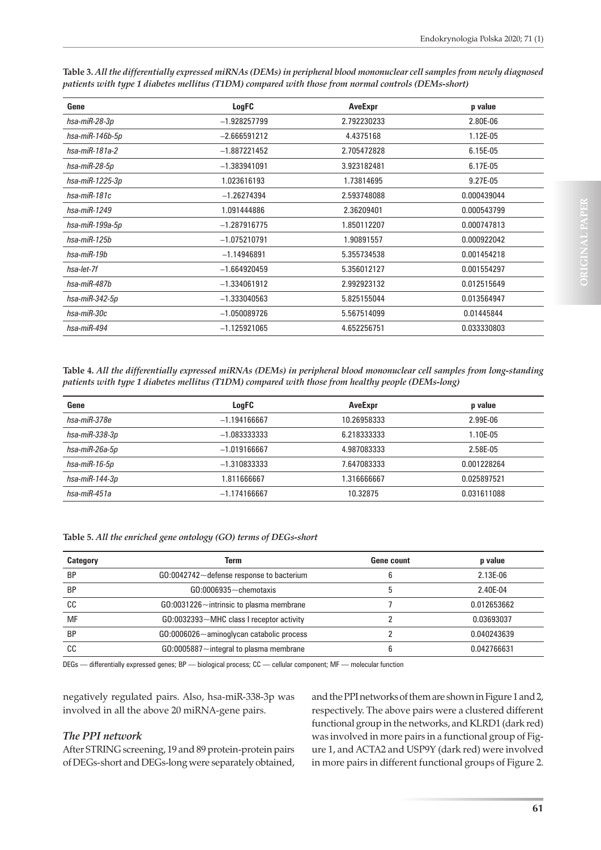| Gene                   | LogFC          | AveExpr     | p value     |
|------------------------|----------------|-------------|-------------|
| hsa-miR-28-3p          | $-1.928257799$ | 2.792230233 | 2.80E-06    |
| hsa-miR-146b-5p        | $-2.666591212$ | 4.4375168   | 1.12E-05    |
| hsa-miR-181a-2         | $-1.887221452$ | 2.705472828 | 6.15E-05    |
| hsa-miR-28-5p          | $-1.383941091$ | 3.923182481 | 6.17E-05    |
| hsa-miR-1225-3p        | 1.023616193    | 1.73814695  | 9.27E-05    |
| $hsa$ -mi $R$ -181 $c$ | $-1.26274394$  | 2.593748088 | 0.000439044 |
| $hsa$ -mi $R$ -1249    | 1.091444886    | 2.36209401  | 0.000543799 |
| hsa-miR-199a-5p        | $-1.287916775$ | 1.850112207 | 0.000747813 |
| $hsa$ -mi $R$ -125 $b$ | $-1.075210791$ | 1.90891557  | 0.000922042 |
| $hsa$ -mi $R$ -19 $b$  | $-1.14946891$  | 5.355734538 | 0.001454218 |
| hsa-let-7f             | $-1.664920459$ | 5.356012127 | 0.001554297 |
| hsa-miR-487b           | $-1.334061912$ | 2.992923132 | 0.012515649 |
| hsa-miR-342-5p         | $-1.333040563$ | 5.825155044 | 0.013564947 |
| hsa-miR-30c            | $-1.050089726$ | 5.567514099 | 0.01445844  |
| $hsa$ -mi $R$ -494     | $-1.125921065$ | 4.652256751 | 0.033330803 |

**Table 3.** *All the differentially expressed miRNAs (DEMs) in peripheral blood mononuclear cell samples from newly diagnosed patients with type 1 diabetes mellitus (T1DM) compared with those from normal controls (DEMs-short)*

**Table 4.** *All the differentially expressed miRNAs (DEMs) in peripheral blood mononuclear cell samples from long-standing patients with type 1 diabetes mellitus (T1DM) compared with those from healthy people (DEMs-long)*

| Gene                    | LogFC          | AveExpr     | p value     |
|-------------------------|----------------|-------------|-------------|
| hsa-miR-378e            | $-1.194166667$ | 10.26958333 | 2.99E-06    |
| hsa-miR-338-3p          | $-1.083333333$ | 6.218333333 | 1.10E-05    |
| hsa-miR-26a-5p          | $-1.019166667$ | 4.987083333 | 2.58E-05    |
| $hsa$ -mi $R$ -16-5 $p$ | $-1.310833333$ | 7.647083333 | 0.001228264 |
| $hsa$ -mi $R$ -144-3p   | 1.811666667    | 1.316666667 | 0.025897521 |
| $hsa$ -mi $R$ -451a     | $-1.174166667$ | 10.32875    | 0.031611088 |

**Table 5.** *All the enriched gene ontology (GO) terms of DEGs-short*

| <b>Category</b> | Term                                            | <b>Gene count</b> | p value     |
|-----------------|-------------------------------------------------|-------------------|-------------|
| <b>BP</b>       | $G0:0042742 \sim$ defense response to bacterium |                   | $2.13E-06$  |
| <b>BP</b>       | $G0:0006935$ ~ chemotaxis                       |                   | 2.40E-04    |
| CC              | $G0:0031226$ ~ intrinsic to plasma membrane     |                   | 0.012653662 |
| MF              | $GO:0032393 \sim MHC$ class I receptor activity |                   | 0.03693037  |
| <b>BP</b>       | $G0:0006026 \sim$ aminoglycan catabolic process |                   | 0.040243639 |
| СC              | $G0:0005887$ ~ integral to plasma membrane      |                   | 0.042766631 |
|                 |                                                 |                   |             |

DEGs — differentially expressed genes; BP — biological process; CC — cellular component; MF — molecular function

negatively regulated pairs. Also, hsa-miR-338-3p was involved in all the above 20 miRNA-gene pairs.

## *The PPI network*

After STRING screening, 19 and 89 protein-protein pairs of DEGs-short and DEGs-long were separately obtained, and the PPI networks of them are shown in Figure 1 and 2, respectively. The above pairs were a clustered different functional group in the networks, and KLRD1 (dark red) was involved in more pairs in a functional group of Figure 1, and ACTA2 and USP9Y (dark red) were involved in more pairs in different functional groups of Figure 2.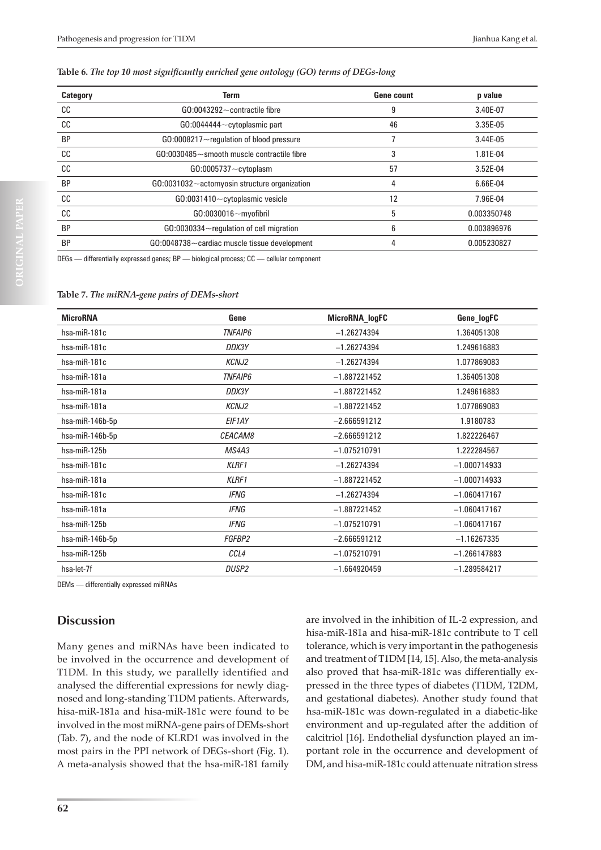#### **Table 6.** *The top 10 most significantly enriched gene ontology (GO) terms of DEGs-long*

| Category  | <b>Term</b>                                           | <b>Gene count</b> | p value     |
|-----------|-------------------------------------------------------|-------------------|-------------|
| CC        | $G0:0043292 \sim$ contractile fibre                   | 9                 | 3.40E-07    |
| cc        | $G0:0044444 \sim$ cytoplasmic part                    | 46                | $3.35E-05$  |
| <b>BP</b> | $G0:0008217\sim$ regulation of blood pressure         |                   | 3.44E-05    |
| cc        | $GO:0030485 \sim$ smooth muscle contractile fibre     | 3                 | 1.81E-04    |
| cc        | $G0:0005737 - cytoplasm$                              | 57                | 3.52E-04    |
| <b>BP</b> | $G0:0031032$ $\sim$ actomyosin structure organization | 4                 | 6.66E-04    |
| CC        | GO:0031410~cytoplasmic vesicle                        | 12                | 7.96E-04    |
| cc        | GO:0030016~myofibril                                  | 5                 | 0.003350748 |
| <b>BP</b> | GO:0030334~regulation of cell migration               | 6                 | 0.003896976 |
| <b>BP</b> | $G0:0048738 \sim$ cardiac muscle tissue development   | 4                 | 0.005230827 |

DEGs — differentially expressed genes; BP — biological process; CC — cellular component

#### **Table 7.** *The miRNA-gene pairs of DEMs-short*

| <b>MicroRNA</b> | Gene           | MicroRNA_logFC | Gene_logFC     |
|-----------------|----------------|----------------|----------------|
| hsa-miR-181c    | <b>TNFAIP6</b> | $-1.26274394$  | 1.364051308    |
| hsa-miR-181c    | DDX3Y          | $-1.26274394$  | 1.249616883    |
| hsa-miR-181c    | <b>KCNJ2</b>   | $-1.26274394$  | 1.077869083    |
| hsa-miR-181a    | <b>TNFAIP6</b> | $-1.887221452$ | 1.364051308    |
| hsa-miR-181a    | DDX3Y          | $-1.887221452$ | 1.249616883    |
| hsa-miR-181a    | <b>KCNJ2</b>   | $-1.887221452$ | 1.077869083    |
| hsa-miR-146b-5p | EIF1AY         | $-2.666591212$ | 1.9180783      |
| hsa-miR-146b-5p | CEACAM8        | $-2.666591212$ | 1.822226467    |
| hsa-miR-125b    | MS4A3          | $-1.075210791$ | 1.222284567    |
| hsa-miR-181c    | <b>KLRF1</b>   | $-1.26274394$  | $-1.000714933$ |
| hsa-miR-181a    | <b>KLRF1</b>   | $-1.887221452$ | $-1.000714933$ |
| hsa-miR-181c    | <b>IFNG</b>    | $-1.26274394$  | $-1.060417167$ |
| hsa-miR-181a    | <b>IFNG</b>    | $-1.887221452$ | $-1.060417167$ |
| hsa-miR-125b    | IFNG           | $-1.075210791$ | $-1.060417167$ |
| hsa-miR-146b-5p | FGFBP2         | $-2.666591212$ | $-1.16267335$  |
| hsa-miR-125b    | CCL4           | $-1.075210791$ | $-1.266147883$ |
| hsa-let-7f      | <b>DUSP2</b>   | $-1.664920459$ | $-1.289584217$ |

DEMs — differentially expressed miRNAs

# **Discussion**

Many genes and miRNAs have been indicated to be involved in the occurrence and development of T1DM. In this study, we parallelly identified and analysed the differential expressions for newly diagnosed and long-standing T1DM patients. Afterwards, hisa-miR-181a and hisa-miR-181c were found to be involved in the most miRNA-gene pairs of DEMs-short (Tab. 7), and the node of KLRD1 was involved in the most pairs in the PPI network of DEGs-short (Fig. 1). A meta-analysis showed that the hsa-miR-181 family

tolerance, which is very important in the pathogenesis and treatment of T1DM [14, 15]. Also, the meta-analysis also proved that hsa-miR-181c was differentially expressed in the three types of diabetes (T1DM, T2DM, and gestational diabetes). Another study found that hsa-miR-181c was down-regulated in a diabetic-like environment and up-regulated after the addition of calcitriol [16]. Endothelial dysfunction played an important role in the occurrence and development of DM, and hisa-miR-181c could attenuate nitration stress

are involved in the inhibition of IL-2 expression, and hisa-miR-181a and hisa-miR-181c contribute to T cell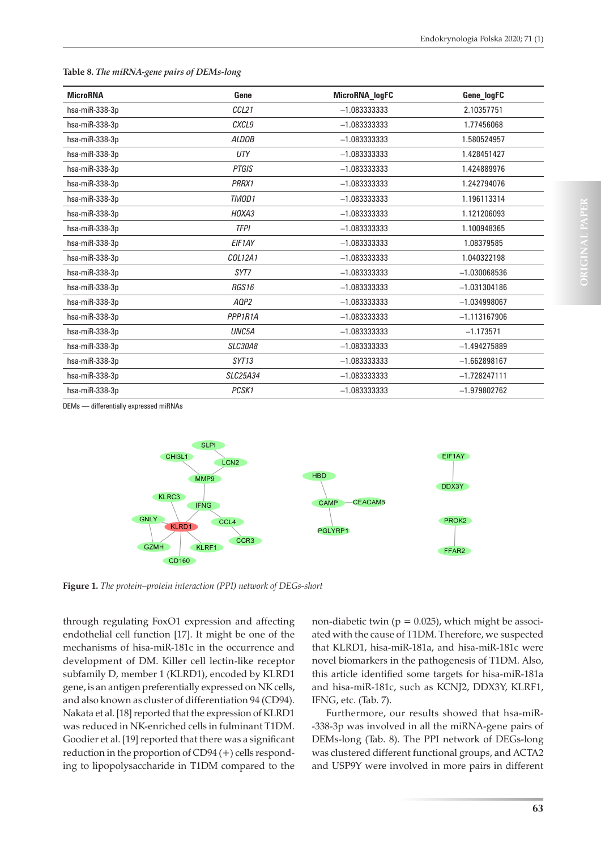| <b>MicroRNA</b>          | Gene               | MicroRNA_logFC | Gene_logFC     |
|--------------------------|--------------------|----------------|----------------|
| hsa-miR-338-3p           | CCL21              | $-1.083333333$ | 2.10357751     |
| hsa-miR-338-3p           | CXCL9              | $-1.083333333$ | 1.77456068     |
| hsa-miR-338-3p           | <b>ALDOB</b>       | $-1.083333333$ | 1.580524957    |
| hsa-miR-338-3p           | UTY                | $-1.083333333$ | 1.428451427    |
| hsa-miR-338-3p           | <b>PTGIS</b>       | $-1.083333333$ | 1.424889976    |
| hsa-miR-338-3p           | PRRX1              | $-1.083333333$ | 1.242794076    |
| hsa-miR-338-3p           | TMOD1              | $-1.083333333$ | 1.196113314    |
| hsa-miR-338-3p           | HOXA3              | $-1.083333333$ | 1.121206093    |
| hsa-miR-338-3p           | <b>TFPI</b>        | $-1.083333333$ | 1.100948365    |
| hsa-miR-338-3p           | EIF1AY             | $-1.083333333$ | 1.08379585     |
| hsa-miR-338-3p           | COL12A1            | $-1.083333333$ | 1.040322198    |
| hsa-miR-338-3p           | SYT7               | $-1.083333333$ | $-1.030068536$ |
| hsa-miR-338-3p           | RGS16              | $-1.083333333$ | $-1.031304186$ |
| hsa-miR-338-3p           | AQP2               | $-1.083333333$ | $-1.034998067$ |
| hsa-miR-338-3p           | PPP1R1A            | $-1.083333333$ | $-1.113167906$ |
| hsa-miR-338-3p           | UNC <sub>5</sub> A | $-1.083333333$ | $-1.173571$    |
| hsa-miR-338-3p           | <b>SLC30A8</b>     | $-1.083333333$ | $-1.494275889$ |
| hsa-miR-338-3p           | SYT13              | $-1.083333333$ | $-1.662898167$ |
| hsa-miR-338-3p           | SLC25A34           | $-1.083333333$ | $-1.728247111$ |
| $hsa$ -mi $R$ -338-3 $p$ | PCSK1              | $-1.083333333$ | $-1.979802762$ |

#### **Table 8.** *The miRNA-gene pairs of DEMs-long*

DEMs — differentially expressed miRNAs



**Figure 1.** *The protein–protein interaction (PPI) network of DEGs-short*

through regulating FoxO1 expression and affecting endothelial cell function [17]. It might be one of the mechanisms of hisa-miR-181c in the occurrence and development of DM. Killer cell lectin-like receptor subfamily D, member 1 (KLRD1), encoded by KLRD1 gene, is an antigen preferentially expressed on NK cells, and also known as cluster of differentiation 94 (CD94). Nakata et al. [18] reported that the expression of KLRD1 was reduced in NK-enriched cells in fulminant T1DM. Goodier et al. [19] reported that there was a significant reduction in the proportion of CD94 (+) cells responding to lipopolysaccharide in T1DM compared to the non-diabetic twin ( $p = 0.025$ ), which might be associated with the cause of T1DM. Therefore, we suspected that KLRD1, hisa-miR-181a, and hisa-miR-181c were novel biomarkers in the pathogenesis of T1DM. Also, this article identified some targets for hisa-miR-181a and hisa-miR-181c, such as KCNJ2, DDX3Y, KLRF1, IFNG, etc. (Tab. 7).

Furthermore, our results showed that hsa-miR- -338-3p was involved in all the miRNA-gene pairs of DEMs-long (Tab. 8). The PPI network of DEGs-long was clustered different functional groups, and ACTA2 and USP9Y were involved in more pairs in different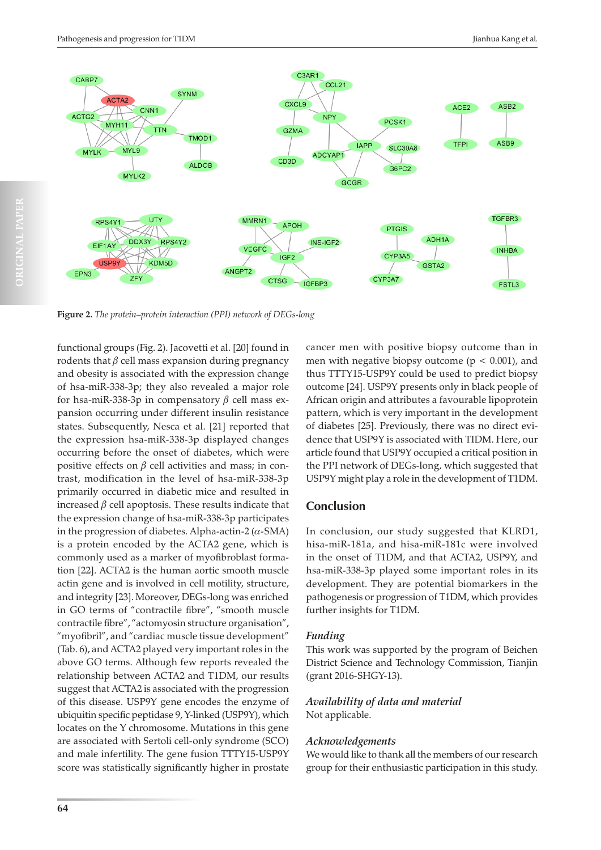

**Figure 2.** *The protein–protein interaction (PPI) network of DEGs-long*

functional groups (Fig. 2). Jacovetti et al. [20] found in rodents that  $\beta$  cell mass expansion during pregnancy and obesity is associated with the expression change of hsa-miR-338-3p; they also revealed a major role for hsa-miR-338-3p in compensatory  $\beta$  cell mass expansion occurring under different insulin resistance states. Subsequently, Nesca et al. [21] reported that the expression hsa-miR-338-3p displayed changes occurring before the onset of diabetes, which were positive effects on  $\beta$  cell activities and mass; in contrast, modification in the level of hsa-miR-338-3p primarily occurred in diabetic mice and resulted in increased  $\beta$  cell apoptosis. These results indicate that the expression change of hsa-miR-338-3p participates in the progression of diabetes. Alpha-actin-2  $(\alpha$ -SMA) is a protein encoded by the ACTA2 gene, which is commonly used as a marker of myofibroblast formation [22]. ACTA2 is the human aortic smooth muscle actin gene and is involved in cell motility, structure, and integrity [23]. Moreover, DEGs-long was enriched in GO terms of "contractile fibre", "smooth muscle contractile fibre", "actomyosin structure organisation", "myofibril", and "cardiac muscle tissue development" (Tab. 6), and ACTA2 played very important roles in the above GO terms. Although few reports revealed the relationship between ACTA2 and T1DM, our results suggest that ACTA2 is associated with the progression of this disease. USP9Y gene encodes the enzyme of ubiquitin specific peptidase 9, Y-linked (USP9Y), which locates on the Y chromosome. Mutations in this gene are associated with Sertoli cell-only syndrome (SCO) and male infertility. The gene fusion TTTY15-USP9Y score was statistically significantly higher in prostate

cancer men with positive biopsy outcome than in men with negative biopsy outcome ( $p < 0.001$ ), and thus TTTY15-USP9Y could be used to predict biopsy outcome [24]. USP9Y presents only in black people of African origin and attributes a favourable lipoprotein pattern, which is very important in the development of diabetes [25]. Previously, there was no direct evidence that USP9Y is associated with TIDM. Here, our article found that USP9Y occupied a critical position in the PPI network of DEGs-long, which suggested that USP9Y might play a role in the development of T1DM.

# **Conclusion**

In conclusion, our study suggested that KLRD1, hisa-miR-181a, and hisa-miR-181c were involved in the onset of T1DM, and that ACTA2, USP9Y, and hsa-miR-338-3p played some important roles in its development. They are potential biomarkers in the pathogenesis or progression of T1DM, which provides further insights for T1DM.

## *Funding*

This work was supported by the program of Beichen District Science and Technology Commission, Tianjin (grant 2016-SHGY-13).

## *Availability of data and material* Not applicable.

## *Acknowledgements*

We would like to thank all the members of our research group for their enthusiastic participation in this study.